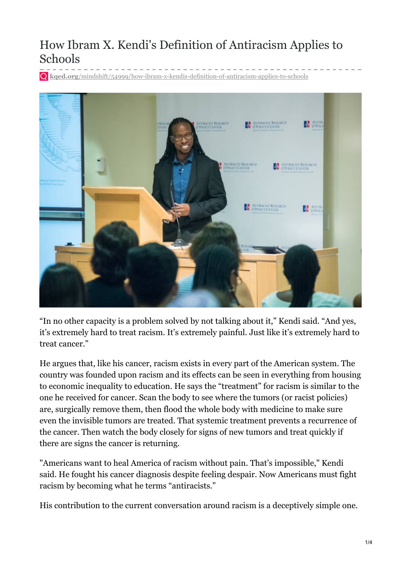## How Ibram X. Kendi's Definition of Antiracism Applies to Schools

**kqed.org**[/mindshift/54999/how-ibram-x-kendis-definition-of-antiracism-applies-to-schools](https://www.kqed.org/mindshift/54999/how-ibram-x-kendis-definition-of-antiracism-applies-to-schools)



"In no other capacity is a problem solved by not talking about it," Kendi said. "And yes, it's extremely hard to treat racism. It's extremely painful. Just like it's extremely hard to treat cancer."

He argues that, like his cancer, racism exists in every part of the American system. The country was founded upon racism and its effects can be seen in everything from housing to economic inequality to education. He says the "treatment" for racism is similar to the one he received for cancer. Scan the body to see where the tumors (or racist policies) are, surgically remove them, then flood the whole body with medicine to make sure even the invisible tumors are treated. That systemic treatment prevents a recurrence of the cancer. Then watch the body closely for signs of new tumors and treat quickly if there are signs the cancer is returning.

"Americans want to heal America of racism without pain. That's impossible," Kendi said. He fought his cancer diagnosis despite feeling despair. Now Americans must fight racism by becoming what he terms "antiracists."

His contribution to the current conversation around racism is a deceptively simple one.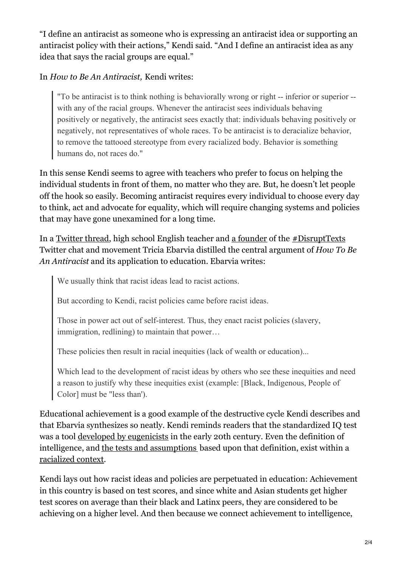"I define an antiracist as someone who is expressing an antiracist idea or supporting an antiracist policy with their actions," Kendi said. "And I define an antiracist idea as any idea that says the racial groups are equal."

## In *How to Be An Antiracist,* Kendi writes:

"To be antiracist is to think nothing is behaviorally wrong or right -- inferior or superior - with any of the racial groups. Whenever the antiracist sees individuals behaving positively or negatively, the antiracist sees exactly that: individuals behaving positively or negatively, not representatives of whole races. To be antiracist is to deracialize behavior, to remove the tattooed stereotype from every racialized body. Behavior is something humans do, not races do."

In this sense Kendi seems to agree with teachers who prefer to focus on helping the individual students in front of them, no matter who they are. But, he doesn't let people off the hook so easily. Becoming antiracist requires every individual to choose every day to think, act and advocate for equality, which will require changing systems and policies that may have gone unexamined for a long time.

In a [Twitter](https://twitter.com/triciaebarvia/status/1193712623226933248) thread, high school English teacher and a [founder](https://disrupttexts.org/about/) of the [#DisruptTexts](https://disrupttexts.org/lets-get-to-work/) Twitter chat and movement Tricia Ebarvia distilled the central argument of *How To Be An Antiracist* and its application to education. Ebarvia writes:

We usually think that racist ideas lead to racist actions.

But according to Kendi, racist policies came before racist ideas.

Those in power act out of self-interest. Thus, they enact racist policies (slavery, immigration, redlining) to maintain that power…

These policies then result in racial inequities (lack of wealth or education)...

Which lead to the development of racist ideas by others who see these inequities and need a reason to justify why these inequities exist (example: [Black, Indigenous, People of Color] must be "less than').

Educational achievement is a good example of the destructive cycle Kendi describes and that Ebarvia synthesizes so neatly. Kendi reminds readers that the standardized IQ test was a tool developed by [eugenicists](https://www.kqed.org/Users/KSCHWA~1/AppData/Local/Temp/galton-1869-genius-v3.pdf) in the early 20th century. Even the definition of intelligence, and the tests and [assumptions](http://www.nea.org/home/73288.htm) based upon that definition, exist within a [racialized](https://www.kqed.org/Users/KSCHWA~1/AppData/Local/Temp/THE_MEASUREMENT_OF_INTELLIGENCE.pdf) context.

Kendi lays out how racist ideas and policies are perpetuated in education: Achievement in this country is based on test scores, and since white and Asian students get higher test scores on average than their black and Latinx peers, they are considered to be achieving on a higher level. And then because we connect achievement to intelligence,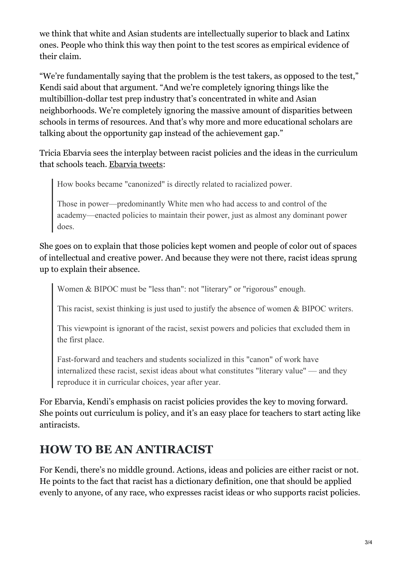we think that white and Asian students are intellectually superior to black and Latinx ones. People who think this way then point to the test scores as empirical evidence of their claim.

"We're fundamentally saying that the problem is the test takers, as opposed to the test," Kendi said about that argument. "And we're completely ignoring things like the multibillion-dollar test prep industry that's concentrated in white and Asian neighborhoods. We're completely ignoring the massive amount of disparities between schools in terms of resources. And that's why more and more educational scholars are talking about the opportunity gap instead of the achievement gap."

Tricia Ebarvia sees the interplay between racist policies and the ideas in the curriculum that schools teach. [Ebarvia](https://twitter.com/triciaebarvia/status/1193712623226933248) tweets:

How books became "canonized" is directly related to racialized power.

Those in power—predominantly White men who had access to and control of the academy—enacted policies to maintain their power, just as almost any dominant power does.

She goes on to explain that those policies kept women and people of color out of spaces of intellectual and creative power. And because they were not there, racist ideas sprung up to explain their absence.

Women & BIPOC must be "less than": not "literary" or "rigorous" enough.

This racist, sexist thinking is just used to justify the absence of women & BIPOC writers.

This viewpoint is ignorant of the racist, sexist powers and policies that excluded them in the first place.

Fast-forward and teachers and students socialized in this "canon" of work have internalized these racist, sexist ideas about what constitutes "literary value" — and they reproduce it in curricular choices, year after year.

For Ebarvia, Kendi's emphasis on racist policies provides the key to moving forward. She points out curriculum is policy, and it's an easy place for teachers to start acting like antiracists.

## **HOW TO BE AN ANTIRACIST**

For Kendi, there's no middle ground. Actions, ideas and policies are either racist or not. He points to the fact that racist has a dictionary definition, one that should be applied evenly to anyone, of any race, who expresses racist ideas or who supports racist policies.